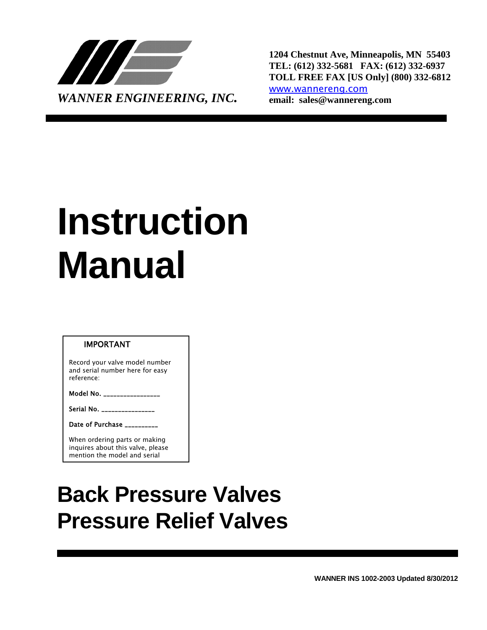

**1204 Chestnut Ave, Minneapolis, MN 55403 TEL: (612) 332-5681 FAX: (612) 332-6937 TOLL FREE FAX [US Only] (800) 332-6812** [www.wannereng.com](http://www.wannereng.com/)

# **Instruction Manual**

#### IMPORTANT

Record your valve model number and serial number here for easy reference:

Model No.  $\overline{a}$ 

Serial No. \_

Date of Purchase \_

When ordering parts or making inquires about this valve, please mention the model and serial

## **Back Pressure Valves Pressure Relief Valves**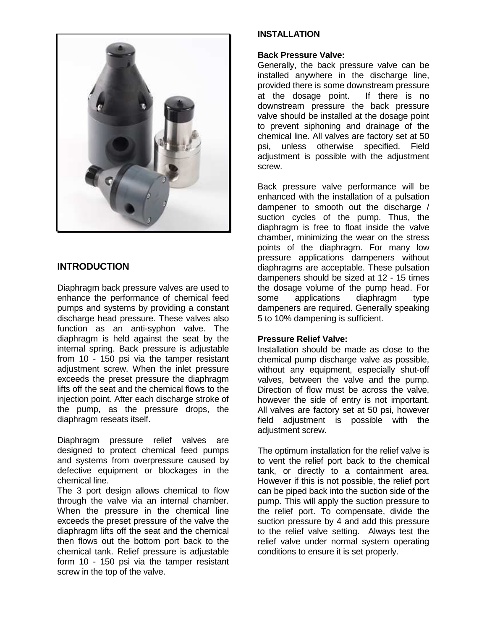

### **INTRODUCTION**

Diaphragm back pressure valves are used to enhance the performance of chemical feed pumps and systems by providing a constant discharge head pressure. These valves also function as an anti-syphon valve. The diaphragm is held against the seat by the internal spring. Back pressure is adjustable from 10 - 150 psi via the tamper resistant adjustment screw. When the inlet pressure exceeds the preset pressure the diaphragm lifts off the seat and the chemical flows to the injection point. After each discharge stroke of the pump, as the pressure drops, the diaphragm reseats itself.

Diaphragm pressure relief valves are designed to protect chemical feed pumps and systems from overpressure caused by defective equipment or blockages in the chemical line.

The 3 port design allows chemical to flow through the valve via an internal chamber. When the pressure in the chemical line exceeds the preset pressure of the valve the diaphragm lifts off the seat and the chemical then flows out the bottom port back to the chemical tank. Relief pressure is adjustable form 10 - 150 psi via the tamper resistant screw in the top of the valve.

#### **INSTALLATION**

#### **Back Pressure Valve:**

Generally, the back pressure valve can be installed anywhere in the discharge line, provided there is some downstream pressure at the dosage point. If there is no downstream pressure the back pressure valve should be installed at the dosage point to prevent siphoning and drainage of the chemical line. All valves are factory set at 50 psi, unless otherwise specified. Field adjustment is possible with the adjustment screw.

Back pressure valve performance will be enhanced with the installation of a pulsation dampener to smooth out the discharge / suction cycles of the pump. Thus, the diaphragm is free to float inside the valve chamber, minimizing the wear on the stress points of the diaphragm. For many low pressure applications dampeners without diaphragms are acceptable. These pulsation dampeners should be sized at 12 - 15 times the dosage volume of the pump head. For some applications diaphragm type dampeners are required. Generally speaking 5 to 10% dampening is sufficient.

#### **Pressure Relief Valve:**

Installation should be made as close to the chemical pump discharge valve as possible, without any equipment, especially shut-off valves, between the valve and the pump. Direction of flow must be across the valve, however the side of entry is not important. All valves are factory set at 50 psi, however field adjustment is possible with the adiustment screw.

The optimum installation for the relief valve is to vent the relief port back to the chemical tank, or directly to a containment area. However if this is not possible, the relief port can be piped back into the suction side of the pump. This will apply the suction pressure to the relief port. To compensate, divide the suction pressure by 4 and add this pressure to the relief valve setting. Always test the relief valve under normal system operating conditions to ensure it is set properly.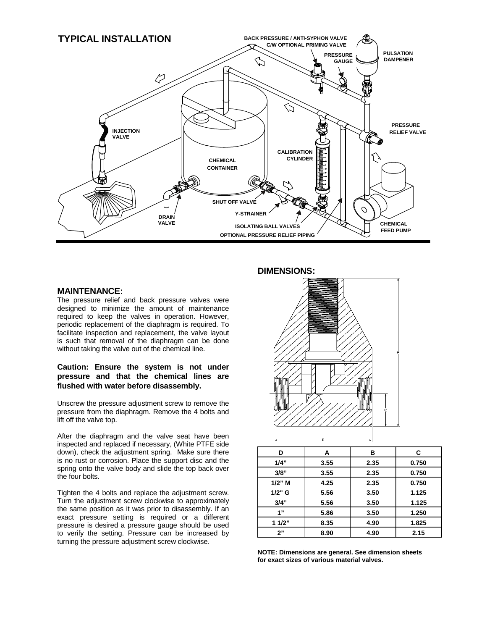

#### **MAINTENANCE:**

The pressure relief and back pressure valves were designed to minimize the amount of maintenance required to keep the valves in operation. However, periodic replacement of the diaphragm is required. To facilitate inspection and replacement, the valve layout is such that removal of the diaphragm can be done without taking the valve out of the chemical line.

#### **Caution: Ensure the system is not under pressure and that the chemical lines are flushed with water before disassembly.**

Unscrew the pressure adjustment screw to remove the pressure from the diaphragm. Remove the 4 bolts and lift off the valve top.

After the diaphragm and the valve seat have been inspected and replaced if necessary, (White PTFE side down), check the adjustment spring. Make sure there is no rust or corrosion. Place the support disc and the spring onto the valve body and slide the top back over the four bolts.

Tighten the 4 bolts and replace the adjustment screw. Turn the adjustment screw clockwise to approximately the same position as it was prior to disassembly. If an exact pressure setting is required or a different pressure is desired a pressure gauge should be used to verify the setting. Pressure can be increased by turning the pressure adjustment screw clockwise.

#### **DIMENSIONS:**



| D         | Α    | в    | C     |
|-----------|------|------|-------|
| 1/4"      | 3.55 | 2.35 | 0.750 |
| 3/8"      | 3.55 | 2.35 | 0.750 |
| $1/2$ " M | 4.25 | 2.35 | 0.750 |
| $1/2$ " G | 5.56 | 3.50 | 1.125 |
| 3/4"      | 5.56 | 3.50 | 1.125 |
| 1"        | 5.86 | 3.50 | 1.250 |
| 11/2"     | 8.35 | 4.90 | 1.825 |
| 2"        | 8.90 | 4.90 | 2.15  |

**NOTE: Dimensions are general. See dimension sheets for exact sizes of various material valves.**